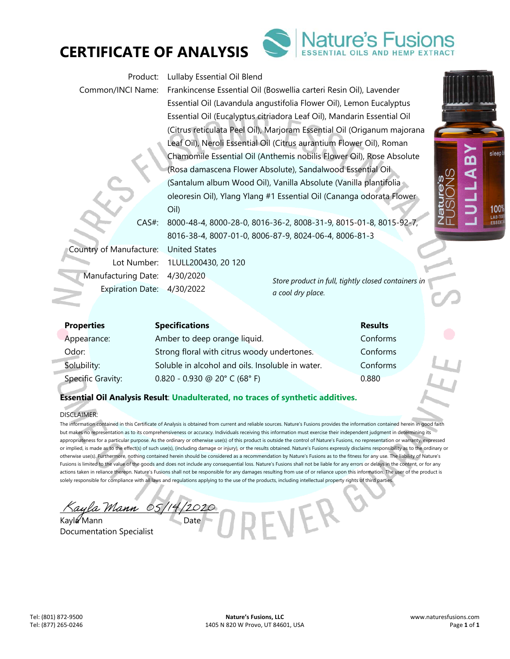



*Store product in full, tightly closed containers in a cool dry place.*  Product: Lullaby Essential Oil Blend Common/INCI Name: Frankincense Essential Oil (Boswellia carteri Resin Oil), Lavender Essential Oil (Lavandula angustifolia Flower Oil), Lemon Eucalyptus Essential Oil (Eucalyptus citriadora Leaf Oil), Mandarin Essential Oil (Citrus reticulata Peel Oil), Marjoram Essential Oil (Origanum majorana Leaf Oil), Neroli Essential Oil (Citrus aurantium Flower Oil), Roman Chamomile Essential Oil (Anthemis nobilis Flower Oil), Rose Absolute (Rosa damascena Flower Absolute), Sandalwood Essential Oil (Santalum album Wood Oil), Vanilla Absolute (Vanilla plantifolia oleoresin Oil), Ylang Ylang #1 Essential Oil (Cananga odorata Flower Oil) CAS#: 8000-48-4, 8000-28-0, 8016-36-2, 8008-31-9, 8015-01-8, 8015-92-7, 8016-38-4, 8007-01-0, 8006-87-9, 8024-06-4, 8006-81-3 Country of Manufacture: United States Lot Number: 1LULL200430, 20 120 Manufacturing Date: 4/30/2020 Expiration Date: 4/30/2022

| <b>Properties</b> | <b>Specifications</b>                            | <b>Results</b> |  |
|-------------------|--------------------------------------------------|----------------|--|
| Appearance:       | Amber to deep orange liquid.                     | Conforms       |  |
| Odor:             | Strong floral with citrus woody undertones.      | Conforms       |  |
| Solubility:       | Soluble in alcohol and oils. Insoluble in water. | Conforms       |  |
| Specific Gravity: | $0.820 - 0.930$ @ 20° C (68° F)                  | 0.880          |  |

# **Essential Oil Analysis Result**: **Unadulterated, no traces of synthetic additives.**

## DISCLAIMER:

The information contained in this Certificate of Analysis is obtained from current and reliable sources. Nature's Fusions provides the information contained herein in good faith but makes no representation as to its comprehensiveness or accuracy. Individuals receiving this information must exercise their independent judgment in determining its appropriateness for a particular purpose. As the ordinary or otherwise use(s) of this product is outside the control of Nature's Fusions, no representation or warranty, expressed or implied, is made as to the effect(s) of such use(s), (including damage or injury), or the results obtained. Nature's Fusions expressly disclaims responsibility as to the ordinary or otherwise use(s). Furthermore, nothing contained herein should be considered as a recommendation by Nature's Fusions as to the fitness for any use. The liability of Nature's Fusions is limited to the value of the goods and does not include any consequential loss. Nature's Fusions shall not be liable for any errors or delays in the content, or for any actions taken in reliance thereon. Nature's Fusions shall not be responsible for any damages resulting from use of or reliance upon this information. The user of the product is solely responsible for compliance with all laws and regulations applying to the use of the products, including intellectual property rights of third parties.

Mann OS Kayla Mann Date

Documentation Specialist



sleep

**100%** LAB-T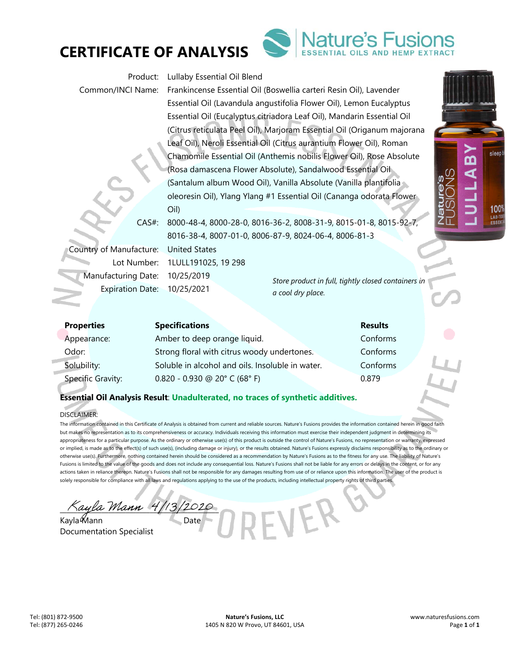



*Store product in full, tightly closed containers in a cool dry place.*  **Properties Specifications Results**  Product: Lullaby Essential Oil Blend Common/INCI Name: Frankincense Essential Oil (Boswellia carteri Resin Oil), Lavender Essential Oil (Lavandula angustifolia Flower Oil), Lemon Eucalyptus Essential Oil (Eucalyptus citriadora Leaf Oil), Mandarin Essential Oil (Citrus reticulata Peel Oil), Marjoram Essential Oil (Origanum majorana Leaf Oil), Neroli Essential Oil (Citrus aurantium Flower Oil), Roman Chamomile Essential Oil (Anthemis nobilis Flower Oil), Rose Absolute (Rosa damascena Flower Absolute), Sandalwood Essential Oil (Santalum album Wood Oil), Vanilla Absolute (Vanilla plantifolia oleoresin Oil), Ylang Ylang #1 Essential Oil (Cananga odorata Flower Oil) CAS#: 8000-48-4, 8000-28-0, 8016-36-2, 8008-31-9, 8015-01-8, 8015-92-7, 8016-38-4, 8007-01-0, 8006-87-9, 8024-06-4, 8006-81-3 Country of Manufacture: United States Lot Number: 1LULL191025, 19 298 Manufacturing Date: 10/25/2019 Expiration Date: 10/25/2021

| <b>Properties</b> | <b>Specifications</b>                            | <b>Results</b> |   |
|-------------------|--------------------------------------------------|----------------|---|
| Appearance:       | Amber to deep orange liquid.                     | Conforms       |   |
| Odor:             | Strong floral with citrus woody undertones.      | Conforms       |   |
| Solubility:       | Soluble in alcohol and oils. Insoluble in water. | Conforms       |   |
| Specific Gravity: | $0.820 - 0.930$ @ 20° C (68° F)                  | 0.879          | D |

# **Essential Oil Analysis Result**: **Unadulterated, no traces of synthetic additives.**

## DISCLAIMER:

The information contained in this Certificate of Analysis is obtained from current and reliable sources. Nature's Fusions provides the information contained herein in good faith but makes no representation as to its comprehensiveness or accuracy. Individuals receiving this information must exercise their independent judgment in determining its appropriateness for a particular purpose. As the ordinary or otherwise use(s) of this product is outside the control of Nature's Fusions, no representation or warranty, expressed or implied, is made as to the effect(s) of such use(s), (including damage or injury), or the results obtained. Nature's Fusions expressly disclaims responsibility as to the ordinary or otherwise use(s). Furthermore, nothing contained herein should be considered as a recommendation by Nature's Fusions as to the fitness for any use. The liability of Nature's Fusions is limited to the value of the goods and does not include any consequential loss. Nature's Fusions shall not be liable for any errors or delays in the content, or for any actions taken in reliance thereon. Nature's Fusions shall not be responsible for any damages resulting from use of or reliance upon this information. The user of the product is solely responsible for compliance with all laws and regulations applying to the use of the products, including intellectual property rights of third parties.

ayla Mann 4/13/2020

Kayla *Mann* Date Documentation Specialist

sleep

**100%** LAB-T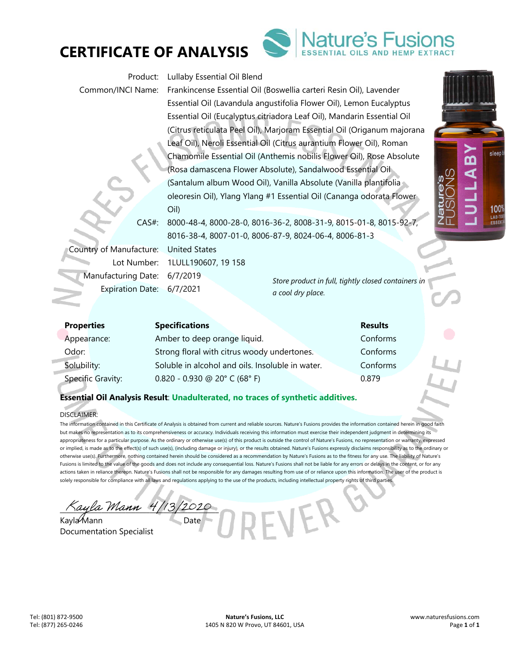



*Store product in full, tightly closed containers in a cool dry place.*  Product: Lullaby Essential Oil Blend Common/INCI Name: Frankincense Essential Oil (Boswellia carteri Resin Oil), Lavender Essential Oil (Lavandula angustifolia Flower Oil), Lemon Eucalyptus Essential Oil (Eucalyptus citriadora Leaf Oil), Mandarin Essential Oil (Citrus reticulata Peel Oil), Marjoram Essential Oil (Origanum majorana Leaf Oil), Neroli Essential Oil (Citrus aurantium Flower Oil), Roman Chamomile Essential Oil (Anthemis nobilis Flower Oil), Rose Absolute (Rosa damascena Flower Absolute), Sandalwood Essential Oil (Santalum album Wood Oil), Vanilla Absolute (Vanilla plantifolia oleoresin Oil), Ylang Ylang #1 Essential Oil (Cananga odorata Flower Oil) CAS#: 8000-48-4, 8000-28-0, 8016-36-2, 8008-31-9, 8015-01-8, 8015-92-7, 8016-38-4, 8007-01-0, 8006-87-9, 8024-06-4, 8006-81-3 Country of Manufacture: United States Lot Number: 1LULL190607, 19 158 Manufacturing Date: 6/7/2019 Expiration Date: 6/7/2021

| <b>Properties</b> | <b>Specifications</b>                            | <b>Results</b> |  |
|-------------------|--------------------------------------------------|----------------|--|
| Appearance:       | Amber to deep orange liquid.                     | Conforms       |  |
| Odor:             | Strong floral with citrus woody undertones.      | Conforms       |  |
| Solubility:       | Soluble in alcohol and oils. Insoluble in water. | Conforms       |  |
| Specific Gravity: | $0.820 - 0.930$ @ 20° C (68° F)                  | 0.879          |  |

# **Essential Oil Analysis Result**: **Unadulterated, no traces of synthetic additives.**

## DISCLAIMER:

The information contained in this Certificate of Analysis is obtained from current and reliable sources. Nature's Fusions provides the information contained herein in good faith but makes no representation as to its comprehensiveness or accuracy. Individuals receiving this information must exercise their independent judgment in determining its appropriateness for a particular purpose. As the ordinary or otherwise use(s) of this product is outside the control of Nature's Fusions, no representation or warranty, expressed or implied, is made as to the effect(s) of such use(s), (including damage or injury), or the results obtained. Nature's Fusions expressly disclaims responsibility as to the ordinary or otherwise use(s). Furthermore, nothing contained herein should be considered as a recommendation by Nature's Fusions as to the fitness for any use. The liability of Nature's Fusions is limited to the value of the goods and does not include any consequential loss. Nature's Fusions shall not be liable for any errors or delays in the content, or for any actions taken in reliance thereon. Nature's Fusions shall not be responsible for any damages resulting from use of or reliance upon this information. The user of the product is solely responsible for compliance with all laws and regulations applying to the use of the products, including intellectual property rights of third parties.

ayla Mann 4

Kayla Mann Date Documentation Specialist

sleep

**100%** LAB-T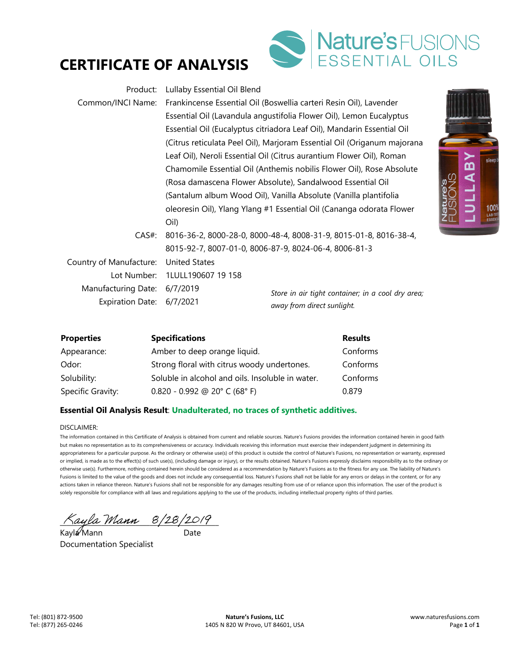



| Product:                  | Lullaby Essential Oil Blend                                          |                                                                         |                |
|---------------------------|----------------------------------------------------------------------|-------------------------------------------------------------------------|----------------|
| Common/INCI Name:         |                                                                      | Frankincense Essential Oil (Boswellia carteri Resin Oil), Lavender      |                |
|                           |                                                                      | Essential Oil (Lavandula angustifolia Flower Oil), Lemon Eucalyptus     |                |
|                           |                                                                      | Essential Oil (Eucalyptus citriadora Leaf Oil), Mandarin Essential Oil  |                |
|                           |                                                                      | (Citrus reticulata Peel Oil), Marjoram Essential Oil (Origanum majorana |                |
|                           |                                                                      | Leaf Oil), Neroli Essential Oil (Citrus aurantium Flower Oil), Roman    |                |
|                           |                                                                      | Chamomile Essential Oil (Anthemis nobilis Flower Oil), Rose Absolute    |                |
|                           | (Rosa damascena Flower Absolute), Sandalwood Essential Oil           |                                                                         |                |
|                           | (Santalum album Wood Oil), Vanilla Absolute (Vanilla plantifolia     |                                                                         |                |
|                           | oleoresin Oil), Ylang Ylang #1 Essential Oil (Cananga odorata Flower |                                                                         | Natur<br>EUSIC |
|                           | Oil)                                                                 |                                                                         |                |
| $CAS#$ :                  | 8016-36-2, 8000-28-0, 8000-48-4, 8008-31-9, 8015-01-8, 8016-38-4,    |                                                                         |                |
|                           | 8015-92-7, 8007-01-0, 8006-87-9, 8024-06-4, 8006-81-3                |                                                                         |                |
| Country of Manufacture:   | <b>United States</b>                                                 |                                                                         |                |
| Lot Number:               | 1LULL190607 19 158                                                   |                                                                         |                |
| Manufacturing Date:       | 6/7/2019                                                             | Store in air tight container; in a cool dry area;                       |                |
| Expiration Date: 6/7/2021 |                                                                      | away from direct sunlight.                                              |                |

| <b>Properties</b> | <b>Specifications</b>                            | <b>Results</b> |
|-------------------|--------------------------------------------------|----------------|
| Appearance:       | Amber to deep orange liquid.                     | Conforms       |
| Odor:             | Strong floral with citrus woody undertones.      | Conforms       |
| Solubility:       | Soluble in alcohol and oils. Insoluble in water. | Conforms       |
| Specific Gravity: | $0.820 - 0.992$ @ 20° C (68° F)                  | 0.879          |

# **Essential Oil Analysis Result**: **Unadulterated, no traces of synthetic additives.**

DISCLAIMER:

The information contained in this Certificate of Analysis is obtained from current and reliable sources. Nature's Fusions provides the information contained herein in good faith but makes no representation as to its comprehensiveness or accuracy. Individuals receiving this information must exercise their independent judgment in determining its appropriateness for a particular purpose. As the ordinary or otherwise use(s) of this product is outside the control of Nature's Fusions, no representation or warranty, expressed or implied, is made as to the effect(s) of such use(s), (including damage or injury), or the results obtained. Nature's Fusions expressly disclaims responsibility as to the ordinary or otherwise use(s). Furthermore, nothing contained herein should be considered as a recommendation by Nature's Fusions as to the fitness for any use. The liability of Nature's Fusions is limited to the value of the goods and does not include any consequential loss. Nature's Fusions shall not be liable for any errors or delays in the content, or for any actions taken in reliance thereon. Nature's Fusions shall not be responsible for any damages resulting from use of or reliance upon this information. The user of the product is solely responsible for compliance with all laws and regulations applying to the use of the products, including intellectual property rights of third parties.

 $\land$ ayla Mann  $8/28/2019$ 

Kayla Mann and Date Documentation Specialist

LABY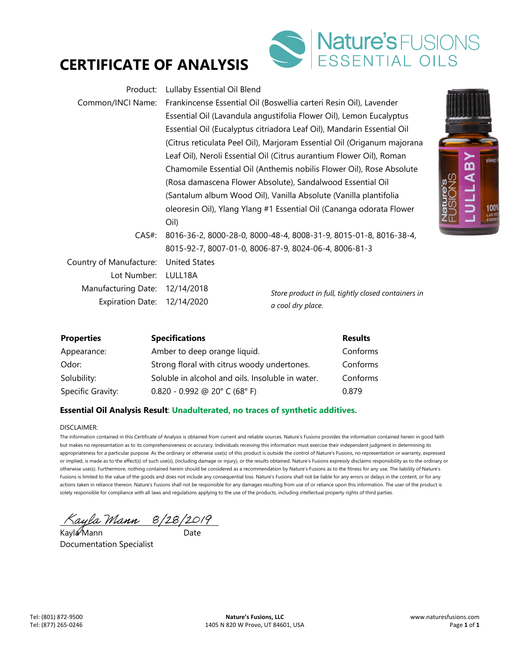



| Product:                       | Lullaby Essential Oil Blend                                          |                                                                         |                         |
|--------------------------------|----------------------------------------------------------------------|-------------------------------------------------------------------------|-------------------------|
| Common/INCI Name:              |                                                                      | Frankincense Essential Oil (Boswellia carteri Resin Oil), Lavender      |                         |
|                                |                                                                      | Essential Oil (Lavandula angustifolia Flower Oil), Lemon Eucalyptus     |                         |
|                                |                                                                      | Essential Oil (Eucalyptus citriadora Leaf Oil), Mandarin Essential Oil  |                         |
|                                |                                                                      | (Citrus reticulata Peel Oil), Marjoram Essential Oil (Origanum majorana |                         |
|                                |                                                                      | Leaf Oil), Neroli Essential Oil (Citrus aurantium Flower Oil), Roman    |                         |
|                                |                                                                      | Chamomile Essential Oil (Anthemis nobilis Flower Oil), Rose Absolute    |                         |
|                                | (Rosa damascena Flower Absolute), Sandalwood Essential Oil           |                                                                         | 0 <sup>0</sup>          |
|                                | (Santalum album Wood Oil), Vanilla Absolute (Vanilla plantifolia     |                                                                         |                         |
|                                | oleoresin Oil), Ylang Ylang #1 Essential Oil (Cananga odorata Flower |                                                                         | Natur<br>FUSIC<br>FUSIC |
|                                | Oil)                                                                 |                                                                         |                         |
| $CAS#$ :                       |                                                                      | 8016-36-2, 8000-28-0, 8000-48-4, 8008-31-9, 8015-01-8, 8016-38-4,       |                         |
|                                | 8015-92-7, 8007-01-0, 8006-87-9, 8024-06-4, 8006-81-3                |                                                                         |                         |
| Country of Manufacture:        | <b>United States</b>                                                 |                                                                         |                         |
| Lot Number:                    | LULL18A                                                              |                                                                         |                         |
| Manufacturing Date: 12/14/2018 |                                                                      | Store product in full, tightly closed containers in                     |                         |
| Expiration Date: 12/14/2020    |                                                                      | a cool dry place.                                                       |                         |



# **Essential Oil Analysis Result**: **Unadulterated, no traces of synthetic additives.**

Specific Gravity: 0.820 - 0.992 @ 20° C (68° F) 0.879

DISCLAIMER:

The information contained in this Certificate of Analysis is obtained from current and reliable sources. Nature's Fusions provides the information contained herein in good faith but makes no representation as to its comprehensiveness or accuracy. Individuals receiving this information must exercise their independent judgment in determining its appropriateness for a particular purpose. As the ordinary or otherwise use(s) of this product is outside the control of Nature's Fusions, no representation or warranty, expressed or implied, is made as to the effect(s) of such use(s), (including damage or injury), or the results obtained. Nature's Fusions expressly disclaims responsibility as to the ordinary or otherwise use(s). Furthermore, nothing contained herein should be considered as a recommendation by Nature's Fusions as to the fitness for any use. The liability of Nature's Fusions is limited to the value of the goods and does not include any consequential loss. Nature's Fusions shall not be liable for any errors or delays in the content, or for any actions taken in reliance thereon. Nature's Fusions shall not be responsible for any damages resulting from use of or reliance upon this information. The user of the product is solely responsible for compliance with all laws and regulations applying to the use of the products, including intellectual property rights of third parties.

 $\land$ ayla Mann  $8/28/2019$ 

Kayla Mann and Date Documentation Specialist

**ABY**